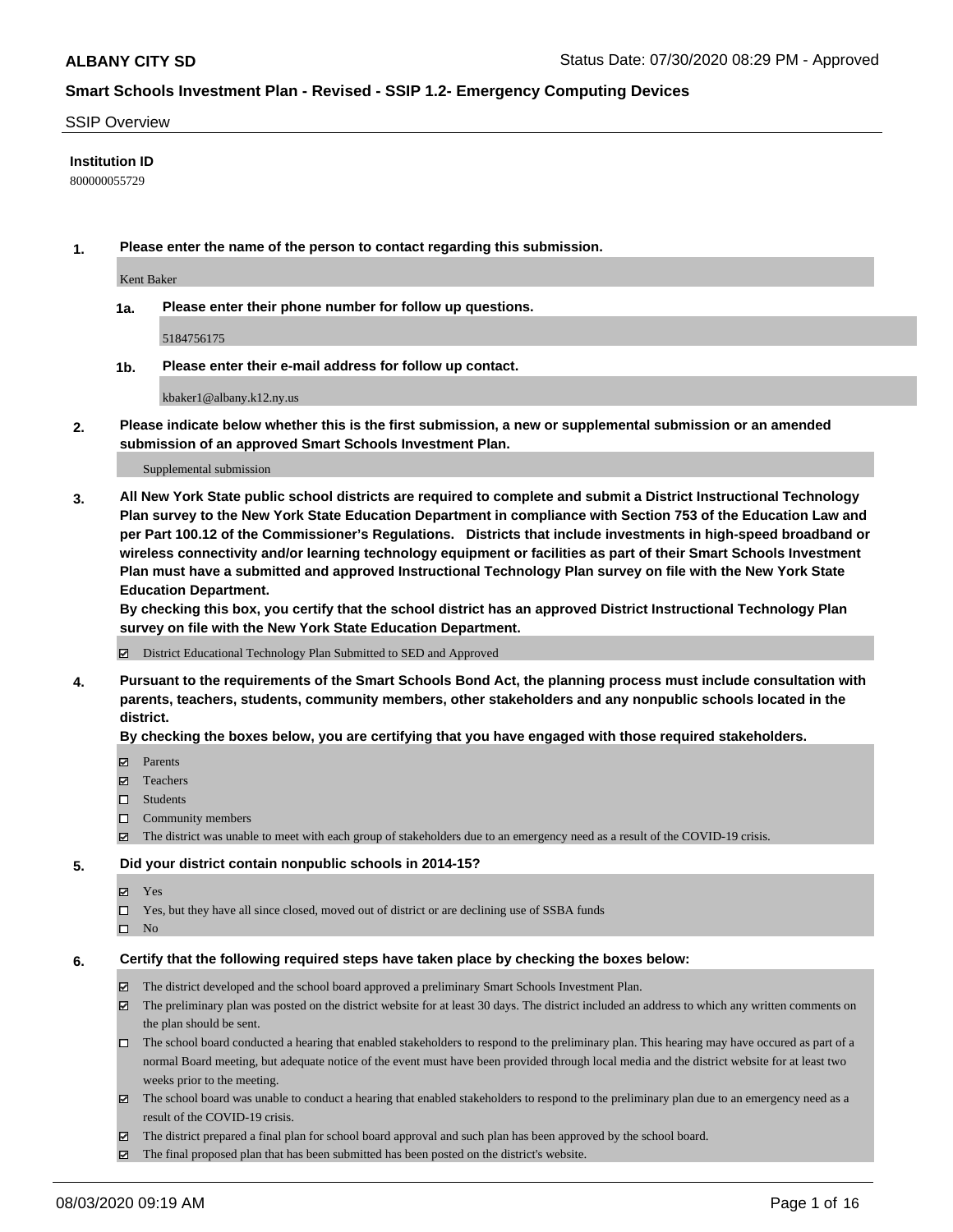#### SSIP Overview

### **Institution ID**

800000055729

**1. Please enter the name of the person to contact regarding this submission.**

Kent Baker

**1a. Please enter their phone number for follow up questions.**

5184756175

**1b. Please enter their e-mail address for follow up contact.**

kbaker1@albany.k12.ny.us

**2. Please indicate below whether this is the first submission, a new or supplemental submission or an amended submission of an approved Smart Schools Investment Plan.**

#### Supplemental submission

**3. All New York State public school districts are required to complete and submit a District Instructional Technology Plan survey to the New York State Education Department in compliance with Section 753 of the Education Law and per Part 100.12 of the Commissioner's Regulations. Districts that include investments in high-speed broadband or wireless connectivity and/or learning technology equipment or facilities as part of their Smart Schools Investment Plan must have a submitted and approved Instructional Technology Plan survey on file with the New York State Education Department.** 

**By checking this box, you certify that the school district has an approved District Instructional Technology Plan survey on file with the New York State Education Department.**

District Educational Technology Plan Submitted to SED and Approved

**4. Pursuant to the requirements of the Smart Schools Bond Act, the planning process must include consultation with parents, teachers, students, community members, other stakeholders and any nonpublic schools located in the district.** 

#### **By checking the boxes below, you are certifying that you have engaged with those required stakeholders.**

- **Parents**
- Teachers
- □ Students
- $\Box$  Community members
- The district was unable to meet with each group of stakeholders due to an emergency need as a result of the COVID-19 crisis.

#### **5. Did your district contain nonpublic schools in 2014-15?**

- **冈** Yes
- Yes, but they have all since closed, moved out of district or are declining use of SSBA funds
- $\square$  No

#### **6. Certify that the following required steps have taken place by checking the boxes below:**

- The district developed and the school board approved a preliminary Smart Schools Investment Plan.
- $\boxtimes$  The preliminary plan was posted on the district website for at least 30 days. The district included an address to which any written comments on the plan should be sent.
- The school board conducted a hearing that enabled stakeholders to respond to the preliminary plan. This hearing may have occured as part of a normal Board meeting, but adequate notice of the event must have been provided through local media and the district website for at least two weeks prior to the meeting.
- The school board was unable to conduct a hearing that enabled stakeholders to respond to the preliminary plan due to an emergency need as a result of the COVID-19 crisis.
- The district prepared a final plan for school board approval and such plan has been approved by the school board.
- $\boxtimes$  The final proposed plan that has been submitted has been posted on the district's website.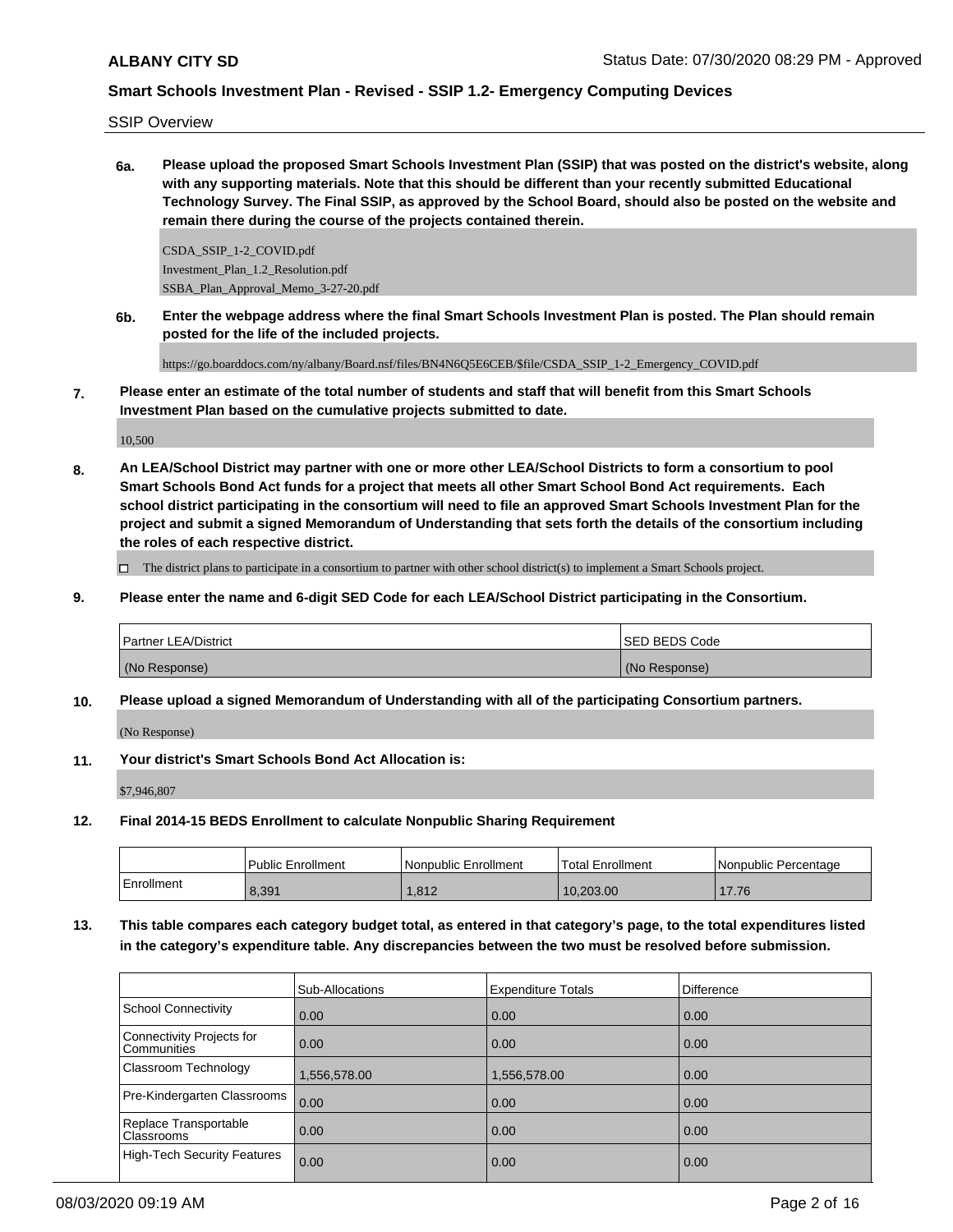SSIP Overview

**6a. Please upload the proposed Smart Schools Investment Plan (SSIP) that was posted on the district's website, along with any supporting materials. Note that this should be different than your recently submitted Educational Technology Survey. The Final SSIP, as approved by the School Board, should also be posted on the website and remain there during the course of the projects contained therein.**

CSDA\_SSIP\_1-2\_COVID.pdf Investment\_Plan\_1.2\_Resolution.pdf SSBA\_Plan\_Approval\_Memo\_3-27-20.pdf

**6b. Enter the webpage address where the final Smart Schools Investment Plan is posted. The Plan should remain posted for the life of the included projects.**

https://go.boarddocs.com/ny/albany/Board.nsf/files/BN4N6Q5E6CEB/\$file/CSDA\_SSIP\_1-2\_Emergency\_COVID.pdf

**7. Please enter an estimate of the total number of students and staff that will benefit from this Smart Schools Investment Plan based on the cumulative projects submitted to date.**

10,500

**8. An LEA/School District may partner with one or more other LEA/School Districts to form a consortium to pool Smart Schools Bond Act funds for a project that meets all other Smart School Bond Act requirements. Each school district participating in the consortium will need to file an approved Smart Schools Investment Plan for the project and submit a signed Memorandum of Understanding that sets forth the details of the consortium including the roles of each respective district.**

The district plans to participate in a consortium to partner with other school district(s) to implement a Smart Schools project.

**9. Please enter the name and 6-digit SED Code for each LEA/School District participating in the Consortium.**

| <b>Partner LEA/District</b> | <b>SED BEDS Code</b> |
|-----------------------------|----------------------|
| (No Response)               | (No Response)        |

**10. Please upload a signed Memorandum of Understanding with all of the participating Consortium partners.**

(No Response)

**11. Your district's Smart Schools Bond Act Allocation is:**

\$7,946,807

**12. Final 2014-15 BEDS Enrollment to calculate Nonpublic Sharing Requirement**

|            | l Public Enrollment | Nonpublic Enrollment | 'Total Enrollment | <b>INonpublic Percentage</b> |
|------------|---------------------|----------------------|-------------------|------------------------------|
| Enrollment | 8.391               | 1.812                | 10,203.00         | 17.76                        |

**13. This table compares each category budget total, as entered in that category's page, to the total expenditures listed in the category's expenditure table. Any discrepancies between the two must be resolved before submission.**

|                                                 | Sub-Allocations | <b>Expenditure Totals</b> | <b>Difference</b> |
|-------------------------------------------------|-----------------|---------------------------|-------------------|
| School Connectivity                             | 0.00            | 0.00                      | 0.00              |
| Connectivity Projects for<br><b>Communities</b> | 0.00            | 0.00                      | 0.00              |
| Classroom Technology                            | 1,556,578.00    | 1,556,578.00              | 0.00              |
| Pre-Kindergarten Classrooms                     | 0.00            | 0.00                      | 0.00              |
| Replace Transportable<br><b>Classrooms</b>      | 0.00            | 0.00                      | 0.00              |
| High-Tech Security Features                     | 0.00            | 0.00                      | 0.00              |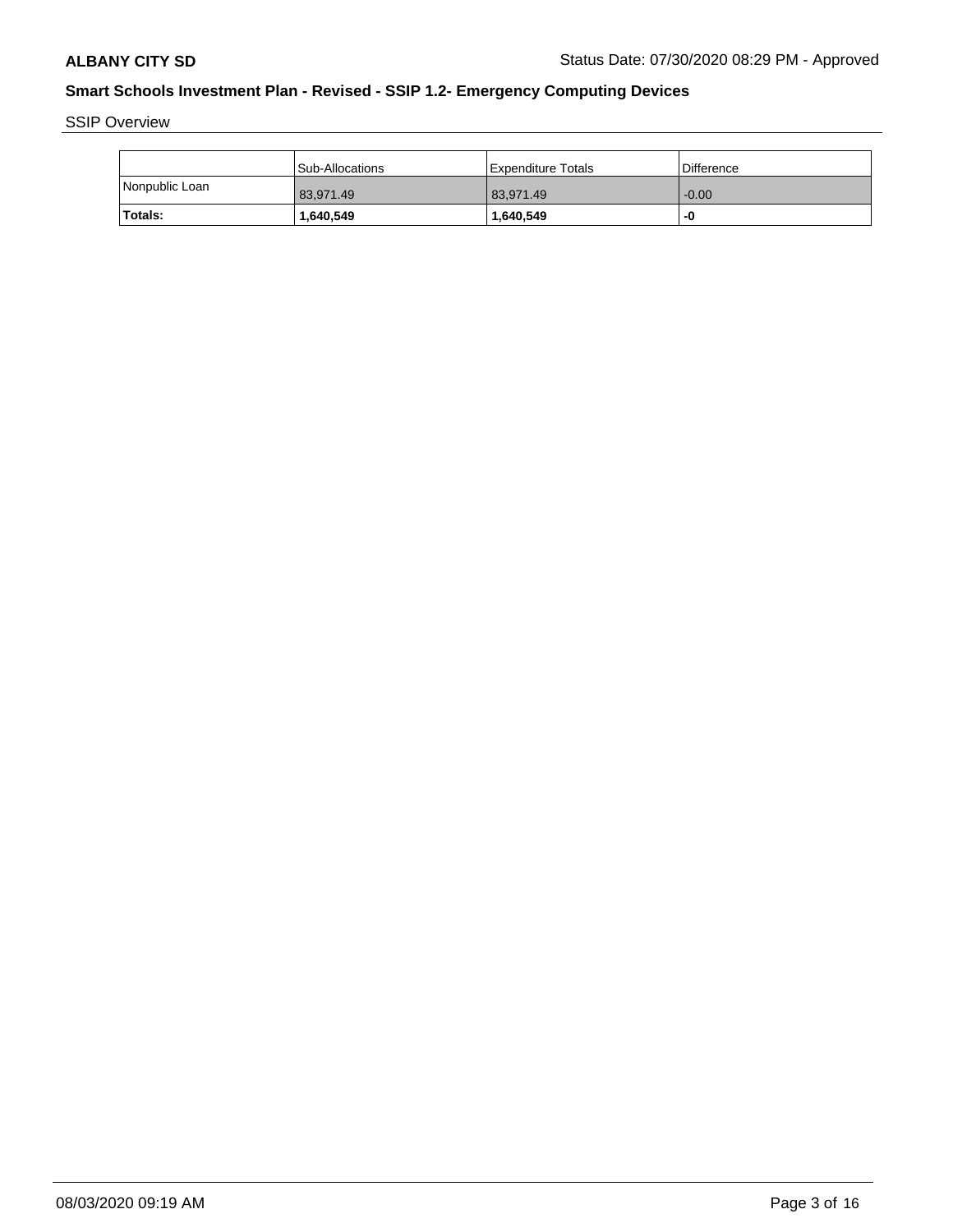SSIP Overview

|                | Sub-Allocations | l Expenditure Totals | <b>Difference</b> |
|----------------|-----------------|----------------------|-------------------|
| Nonpublic Loan | 83.971.49       | 83.971.49            | $-0.00$           |
| Totals:        | 1,640,549       | 1,640,549            | -0                |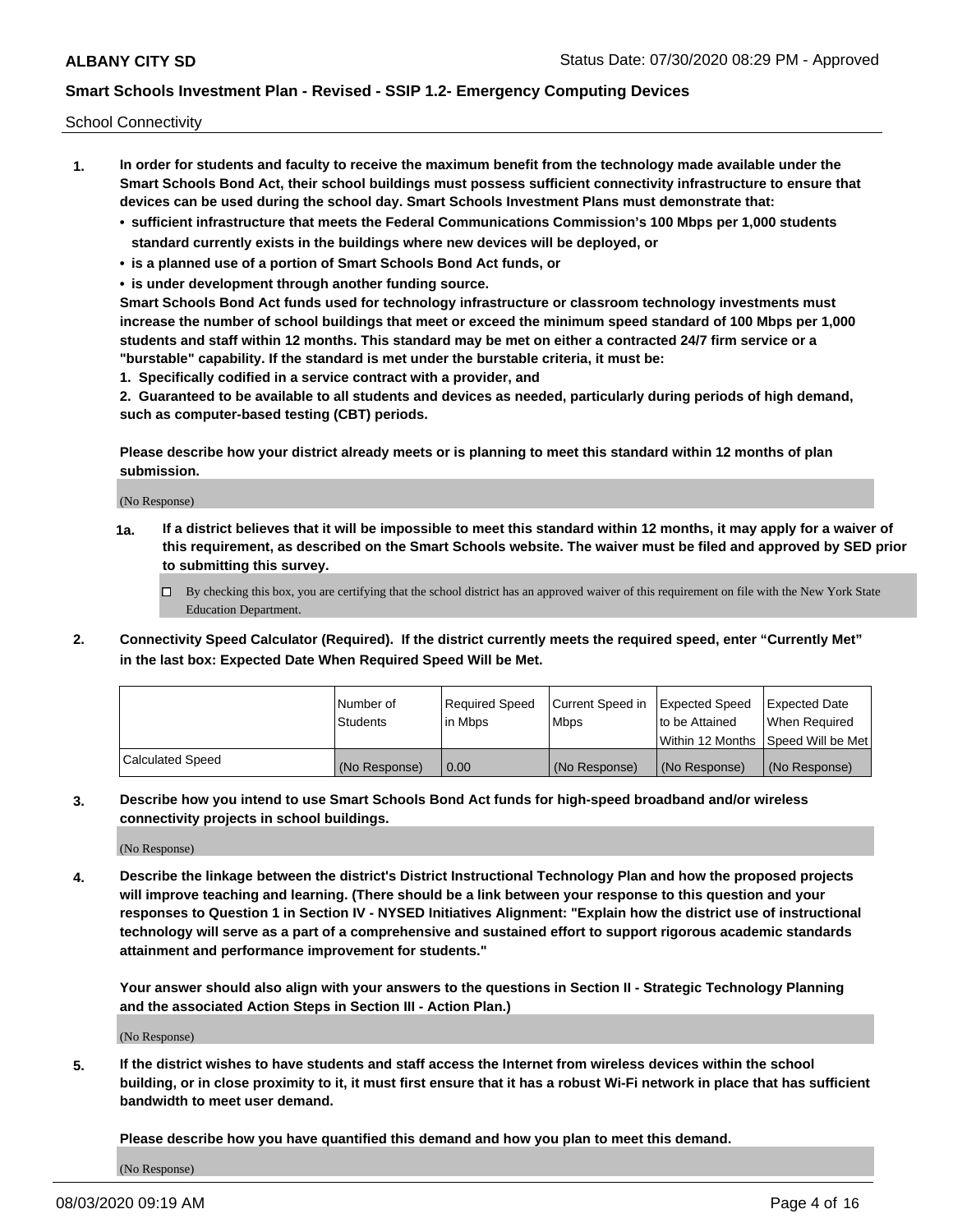School Connectivity

- **1. In order for students and faculty to receive the maximum benefit from the technology made available under the Smart Schools Bond Act, their school buildings must possess sufficient connectivity infrastructure to ensure that devices can be used during the school day. Smart Schools Investment Plans must demonstrate that:**
	- **• sufficient infrastructure that meets the Federal Communications Commission's 100 Mbps per 1,000 students standard currently exists in the buildings where new devices will be deployed, or**
	- **• is a planned use of a portion of Smart Schools Bond Act funds, or**
	- **• is under development through another funding source.**

**Smart Schools Bond Act funds used for technology infrastructure or classroom technology investments must increase the number of school buildings that meet or exceed the minimum speed standard of 100 Mbps per 1,000 students and staff within 12 months. This standard may be met on either a contracted 24/7 firm service or a "burstable" capability. If the standard is met under the burstable criteria, it must be:**

**1. Specifically codified in a service contract with a provider, and**

**2. Guaranteed to be available to all students and devices as needed, particularly during periods of high demand, such as computer-based testing (CBT) periods.**

**Please describe how your district already meets or is planning to meet this standard within 12 months of plan submission.**

(No Response)

**1a. If a district believes that it will be impossible to meet this standard within 12 months, it may apply for a waiver of this requirement, as described on the Smart Schools website. The waiver must be filed and approved by SED prior to submitting this survey.**

 $\Box$  By checking this box, you are certifying that the school district has an approved waiver of this requirement on file with the New York State Education Department.

**2. Connectivity Speed Calculator (Required). If the district currently meets the required speed, enter "Currently Met" in the last box: Expected Date When Required Speed Will be Met.**

|                  | l Number of     | Required Speed | Current Speed in | Expected Speed  | Expected Date                           |
|------------------|-----------------|----------------|------------------|-----------------|-----------------------------------------|
|                  | <b>Students</b> | In Mbps        | l Mbps           | to be Attained  | When Required                           |
|                  |                 |                |                  |                 | l Within 12 Months ISpeed Will be Met l |
| Calculated Speed | (No Response)   | 0.00           | (No Response)    | l (No Response) | l (No Response)                         |

**3. Describe how you intend to use Smart Schools Bond Act funds for high-speed broadband and/or wireless connectivity projects in school buildings.**

(No Response)

**4. Describe the linkage between the district's District Instructional Technology Plan and how the proposed projects will improve teaching and learning. (There should be a link between your response to this question and your responses to Question 1 in Section IV - NYSED Initiatives Alignment: "Explain how the district use of instructional technology will serve as a part of a comprehensive and sustained effort to support rigorous academic standards attainment and performance improvement for students."** 

**Your answer should also align with your answers to the questions in Section II - Strategic Technology Planning and the associated Action Steps in Section III - Action Plan.)**

(No Response)

**5. If the district wishes to have students and staff access the Internet from wireless devices within the school building, or in close proximity to it, it must first ensure that it has a robust Wi-Fi network in place that has sufficient bandwidth to meet user demand.**

**Please describe how you have quantified this demand and how you plan to meet this demand.**

(No Response)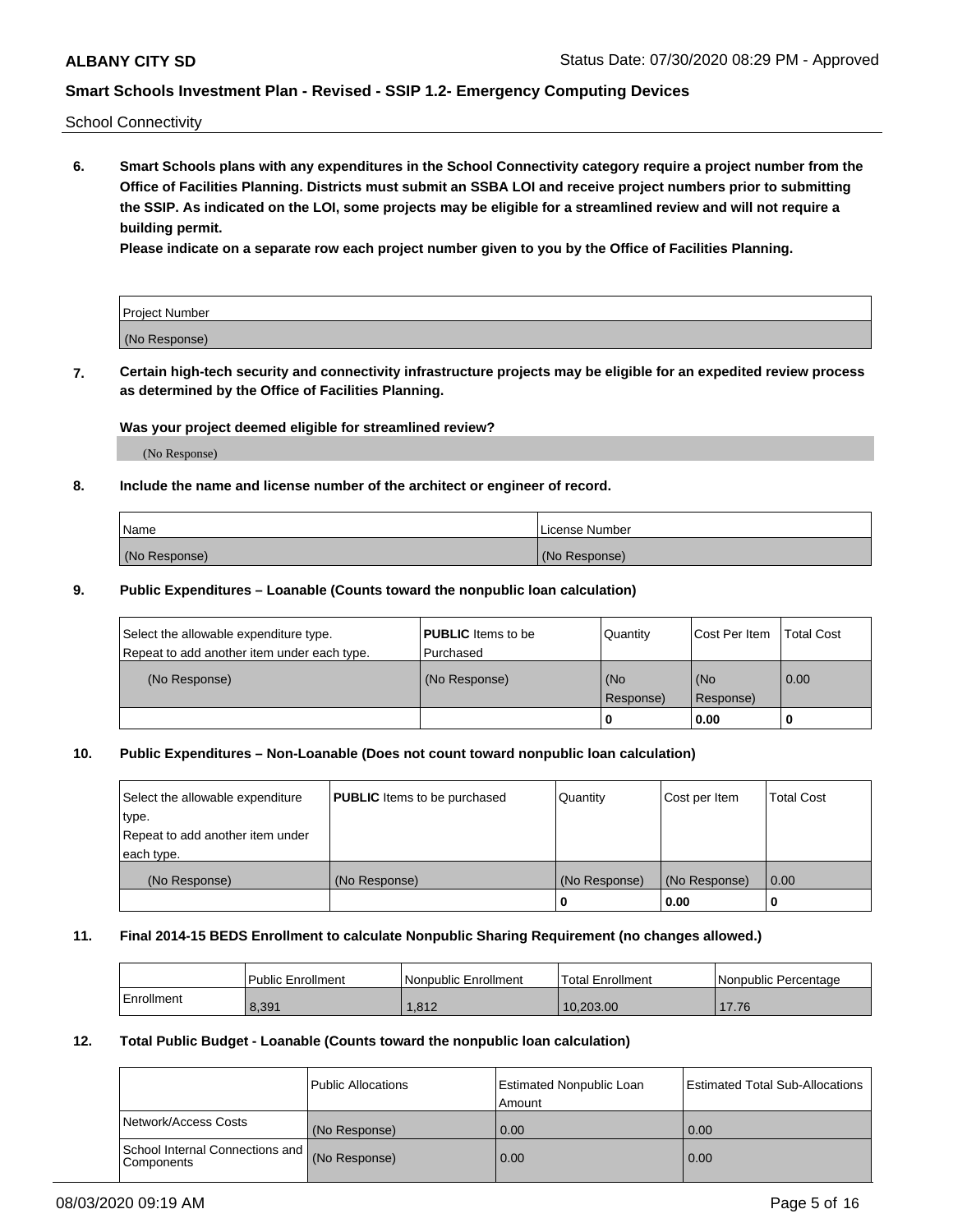School Connectivity

**6. Smart Schools plans with any expenditures in the School Connectivity category require a project number from the Office of Facilities Planning. Districts must submit an SSBA LOI and receive project numbers prior to submitting the SSIP. As indicated on the LOI, some projects may be eligible for a streamlined review and will not require a building permit.**

**Please indicate on a separate row each project number given to you by the Office of Facilities Planning.**

| Project Number |  |
|----------------|--|
| (No Response)  |  |

**7. Certain high-tech security and connectivity infrastructure projects may be eligible for an expedited review process as determined by the Office of Facilities Planning.**

### **Was your project deemed eligible for streamlined review?**

(No Response)

### **8. Include the name and license number of the architect or engineer of record.**

| Name          | License Number |
|---------------|----------------|
| (No Response) | (No Response)  |

### **9. Public Expenditures – Loanable (Counts toward the nonpublic loan calculation)**

| Select the allowable expenditure type.<br>Repeat to add another item under each type. | <b>PUBLIC</b> Items to be<br>l Purchased | Quantity           | Cost Per Item    | <b>Total Cost</b> |
|---------------------------------------------------------------------------------------|------------------------------------------|--------------------|------------------|-------------------|
| (No Response)                                                                         | (No Response)                            | l (No<br>Response) | (No<br>Response) | $\overline{0.00}$ |
|                                                                                       |                                          | O                  | 0.00             |                   |

## **10. Public Expenditures – Non-Loanable (Does not count toward nonpublic loan calculation)**

| Select the allowable expenditure<br>type.<br>Repeat to add another item under<br>each type. | <b>PUBLIC</b> Items to be purchased | Quantity      | Cost per Item | <b>Total Cost</b> |
|---------------------------------------------------------------------------------------------|-------------------------------------|---------------|---------------|-------------------|
| (No Response)                                                                               | (No Response)                       | (No Response) | (No Response) | 0.00              |
|                                                                                             |                                     |               | 0.00          |                   |

#### **11. Final 2014-15 BEDS Enrollment to calculate Nonpublic Sharing Requirement (no changes allowed.)**

|            | l Public Enrollment | Nonpublic Enrollment | 'Total Enrollment | Nonpublic Percentage |
|------------|---------------------|----------------------|-------------------|----------------------|
| Enrollment | 8,391               | 1.812                | 10.203.00         | 17.76                |

### **12. Total Public Budget - Loanable (Counts toward the nonpublic loan calculation)**

|                                               | Public Allocations | <b>Estimated Nonpublic Loan</b><br>Amount | Estimated Total Sub-Allocations |
|-----------------------------------------------|--------------------|-------------------------------------------|---------------------------------|
| Network/Access Costs                          | (No Response)      | 0.00                                      | 0.00                            |
| School Internal Connections and<br>Components | (No Response)      | 0.00                                      | 0.00                            |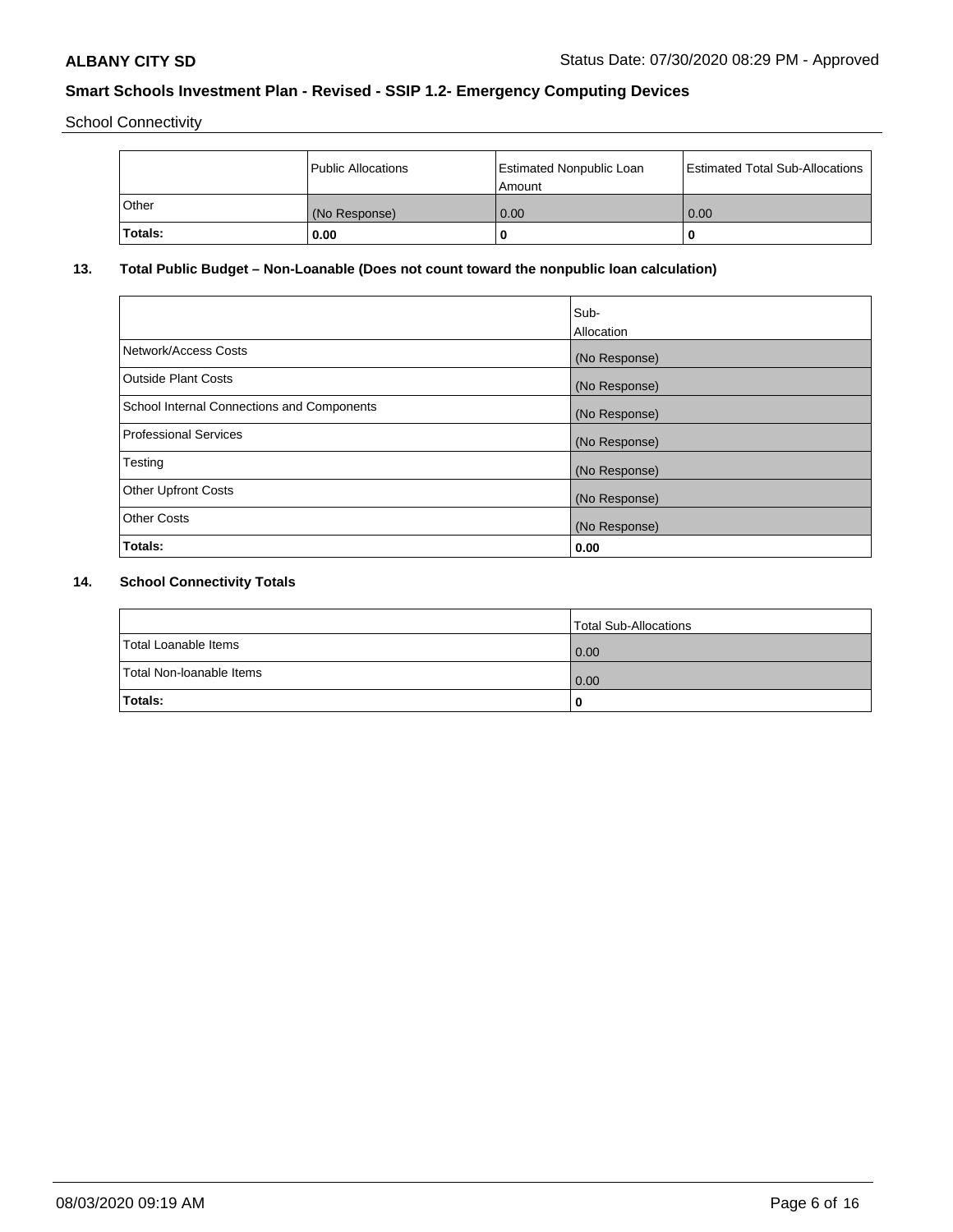School Connectivity

|         | Public Allocations | <b>Estimated Nonpublic Loan</b><br>l Amount | <b>Estimated Total Sub-Allocations</b> |
|---------|--------------------|---------------------------------------------|----------------------------------------|
| l Other | (No Response)      | 0.00                                        | 0.00                                   |
| Totals: | 0.00               | 0                                           |                                        |

# **13. Total Public Budget – Non-Loanable (Does not count toward the nonpublic loan calculation)**

|                                                   | Sub-<br>Allocation |
|---------------------------------------------------|--------------------|
|                                                   |                    |
| Network/Access Costs                              | (No Response)      |
| <b>Outside Plant Costs</b>                        | (No Response)      |
| <b>School Internal Connections and Components</b> | (No Response)      |
| Professional Services                             | (No Response)      |
| Testing                                           | (No Response)      |
| <b>Other Upfront Costs</b>                        | (No Response)      |
| <b>Other Costs</b>                                | (No Response)      |
| <b>Totals:</b>                                    | 0.00               |

# **14. School Connectivity Totals**

|                          | Total Sub-Allocations |
|--------------------------|-----------------------|
| Total Loanable Items     | 0.00                  |
| Total Non-Ioanable Items | 0.00                  |
| Totals:                  | 0                     |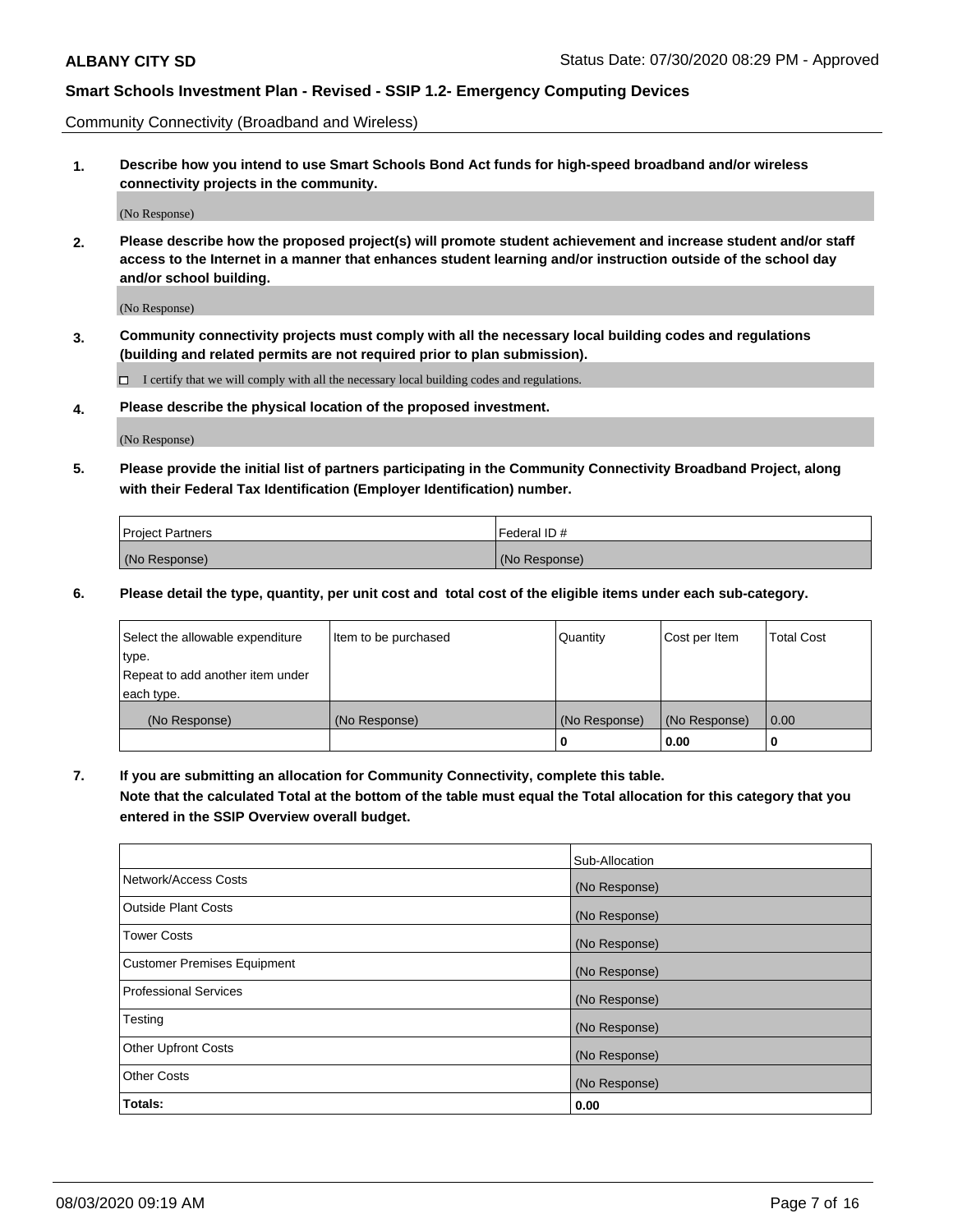Community Connectivity (Broadband and Wireless)

**1. Describe how you intend to use Smart Schools Bond Act funds for high-speed broadband and/or wireless connectivity projects in the community.**

(No Response)

**2. Please describe how the proposed project(s) will promote student achievement and increase student and/or staff access to the Internet in a manner that enhances student learning and/or instruction outside of the school day and/or school building.**

(No Response)

**3. Community connectivity projects must comply with all the necessary local building codes and regulations (building and related permits are not required prior to plan submission).**

 $\Box$  I certify that we will comply with all the necessary local building codes and regulations.

**4. Please describe the physical location of the proposed investment.**

(No Response)

**5. Please provide the initial list of partners participating in the Community Connectivity Broadband Project, along with their Federal Tax Identification (Employer Identification) number.**

| <b>Project Partners</b> | l Federal ID # |
|-------------------------|----------------|
| (No Response)           | (No Response)  |

**6. Please detail the type, quantity, per unit cost and total cost of the eligible items under each sub-category.**

| Select the allowable expenditure | Item to be purchased | Quantity      | Cost per Item | <b>Total Cost</b> |
|----------------------------------|----------------------|---------------|---------------|-------------------|
| type.                            |                      |               |               |                   |
| Repeat to add another item under |                      |               |               |                   |
| each type.                       |                      |               |               |                   |
| (No Response)                    | (No Response)        | (No Response) | (No Response) | 0.00              |
|                                  |                      | o             | 0.00          |                   |

**7. If you are submitting an allocation for Community Connectivity, complete this table.**

**Note that the calculated Total at the bottom of the table must equal the Total allocation for this category that you entered in the SSIP Overview overall budget.**

|                                    | Sub-Allocation |
|------------------------------------|----------------|
| Network/Access Costs               | (No Response)  |
| Outside Plant Costs                | (No Response)  |
| <b>Tower Costs</b>                 | (No Response)  |
| <b>Customer Premises Equipment</b> | (No Response)  |
| <b>Professional Services</b>       | (No Response)  |
| Testing                            | (No Response)  |
| <b>Other Upfront Costs</b>         | (No Response)  |
| <b>Other Costs</b>                 | (No Response)  |
| Totals:                            | 0.00           |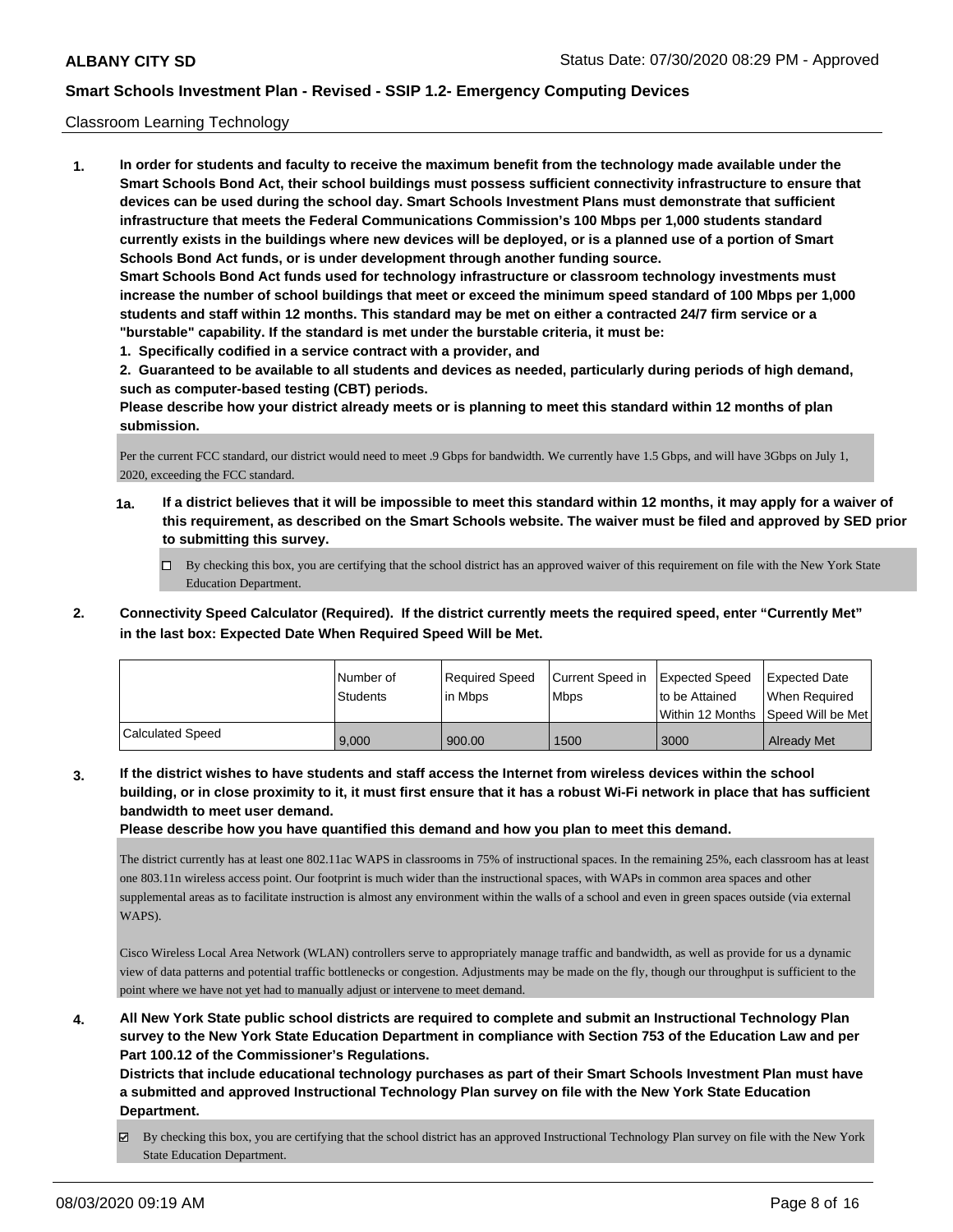#### Classroom Learning Technology

**1. In order for students and faculty to receive the maximum benefit from the technology made available under the Smart Schools Bond Act, their school buildings must possess sufficient connectivity infrastructure to ensure that devices can be used during the school day. Smart Schools Investment Plans must demonstrate that sufficient infrastructure that meets the Federal Communications Commission's 100 Mbps per 1,000 students standard currently exists in the buildings where new devices will be deployed, or is a planned use of a portion of Smart Schools Bond Act funds, or is under development through another funding source. Smart Schools Bond Act funds used for technology infrastructure or classroom technology investments must increase the number of school buildings that meet or exceed the minimum speed standard of 100 Mbps per 1,000 students and staff within 12 months. This standard may be met on either a contracted 24/7 firm service or a "burstable" capability. If the standard is met under the burstable criteria, it must be:**

**1. Specifically codified in a service contract with a provider, and**

**2. Guaranteed to be available to all students and devices as needed, particularly during periods of high demand, such as computer-based testing (CBT) periods.**

**Please describe how your district already meets or is planning to meet this standard within 12 months of plan submission.**

Per the current FCC standard, our district would need to meet .9 Gbps for bandwidth. We currently have 1.5 Gbps, and will have 3Gbps on July 1, 2020, exceeding the FCC standard.

- **1a. If a district believes that it will be impossible to meet this standard within 12 months, it may apply for a waiver of this requirement, as described on the Smart Schools website. The waiver must be filed and approved by SED prior to submitting this survey.**
	- By checking this box, you are certifying that the school district has an approved waiver of this requirement on file with the New York State Education Department.
- **2. Connectivity Speed Calculator (Required). If the district currently meets the required speed, enter "Currently Met" in the last box: Expected Date When Required Speed Will be Met.**

|                  | l Number of<br>Students | Required Speed<br>l in Mbps | Current Speed in Expected Speed<br>l Mbps | to be Attained | <b>Expected Date</b><br>When Required<br>Within 12 Months ISpeed Will be Met l |
|------------------|-------------------------|-----------------------------|-------------------------------------------|----------------|--------------------------------------------------------------------------------|
| Calculated Speed | 9.000                   | 900.00                      | 1500                                      | 3000           | <b>Already Met</b>                                                             |

**3. If the district wishes to have students and staff access the Internet from wireless devices within the school building, or in close proximity to it, it must first ensure that it has a robust Wi-Fi network in place that has sufficient bandwidth to meet user demand.**

**Please describe how you have quantified this demand and how you plan to meet this demand.**

The district currently has at least one 802.11ac WAPS in classrooms in 75% of instructional spaces. In the remaining 25%, each classroom has at least one 803.11n wireless access point. Our footprint is much wider than the instructional spaces, with WAPs in common area spaces and other supplemental areas as to facilitate instruction is almost any environment within the walls of a school and even in green spaces outside (via external WAPS).

Cisco Wireless Local Area Network (WLAN) controllers serve to appropriately manage traffic and bandwidth, as well as provide for us a dynamic view of data patterns and potential traffic bottlenecks or congestion. Adjustments may be made on the fly, though our throughput is sufficient to the point where we have not yet had to manually adjust or intervene to meet demand.

**4. All New York State public school districts are required to complete and submit an Instructional Technology Plan survey to the New York State Education Department in compliance with Section 753 of the Education Law and per Part 100.12 of the Commissioner's Regulations.**

**Districts that include educational technology purchases as part of their Smart Schools Investment Plan must have a submitted and approved Instructional Technology Plan survey on file with the New York State Education Department.**

By checking this box, you are certifying that the school district has an approved Instructional Technology Plan survey on file with the New York State Education Department.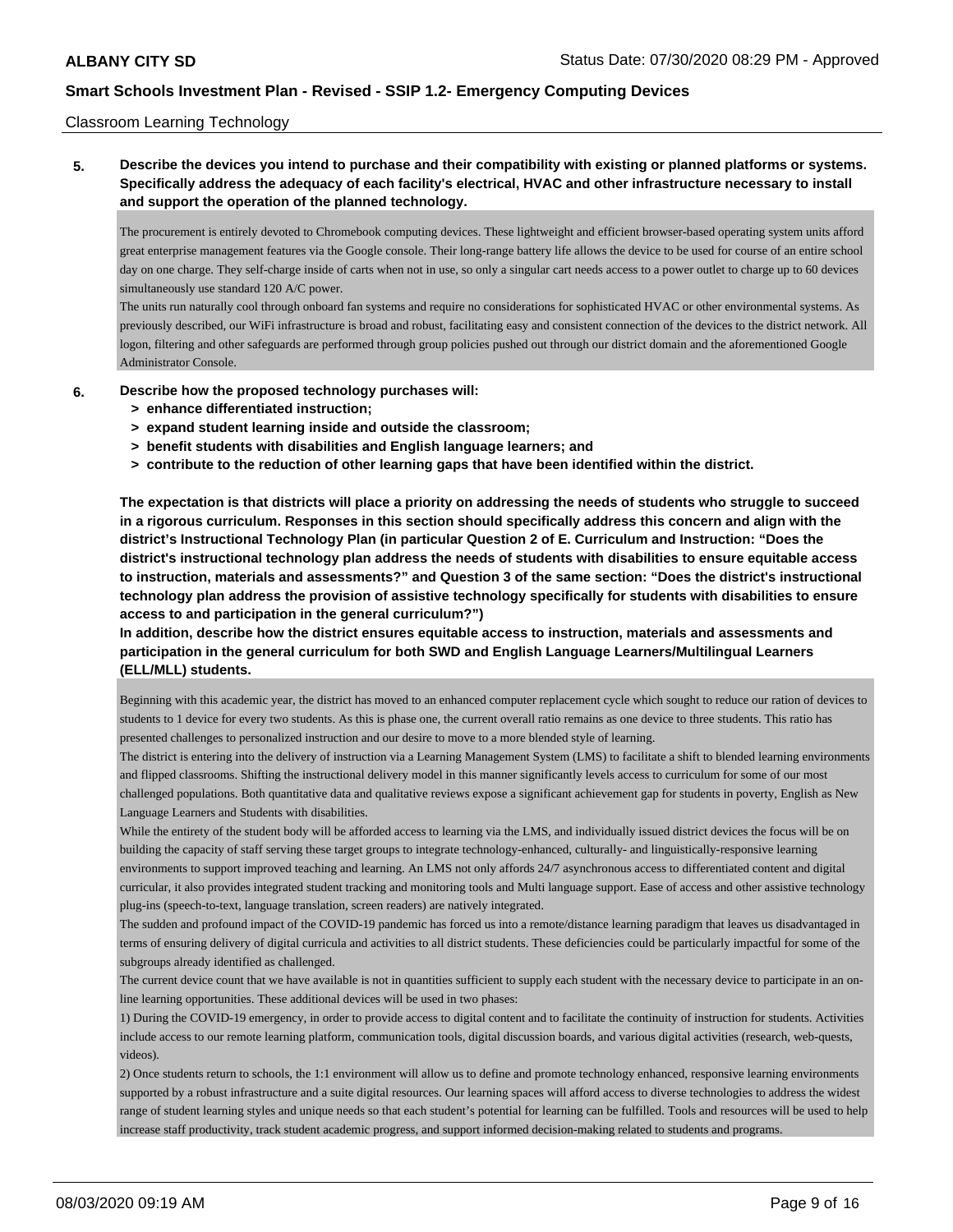### Classroom Learning Technology

**5. Describe the devices you intend to purchase and their compatibility with existing or planned platforms or systems. Specifically address the adequacy of each facility's electrical, HVAC and other infrastructure necessary to install and support the operation of the planned technology.**

The procurement is entirely devoted to Chromebook computing devices. These lightweight and efficient browser-based operating system units afford great enterprise management features via the Google console. Their long-range battery life allows the device to be used for course of an entire school day on one charge. They self-charge inside of carts when not in use, so only a singular cart needs access to a power outlet to charge up to 60 devices simultaneously use standard 120 A/C power.

The units run naturally cool through onboard fan systems and require no considerations for sophisticated HVAC or other environmental systems. As previously described, our WiFi infrastructure is broad and robust, facilitating easy and consistent connection of the devices to the district network. All logon, filtering and other safeguards are performed through group policies pushed out through our district domain and the aforementioned Google Administrator Console.

- **6. Describe how the proposed technology purchases will:**
	- **> enhance differentiated instruction;**
	- **> expand student learning inside and outside the classroom;**
	- **> benefit students with disabilities and English language learners; and**
	- **> contribute to the reduction of other learning gaps that have been identified within the district.**

**The expectation is that districts will place a priority on addressing the needs of students who struggle to succeed in a rigorous curriculum. Responses in this section should specifically address this concern and align with the district's Instructional Technology Plan (in particular Question 2 of E. Curriculum and Instruction: "Does the district's instructional technology plan address the needs of students with disabilities to ensure equitable access to instruction, materials and assessments?" and Question 3 of the same section: "Does the district's instructional technology plan address the provision of assistive technology specifically for students with disabilities to ensure access to and participation in the general curriculum?")**

**In addition, describe how the district ensures equitable access to instruction, materials and assessments and participation in the general curriculum for both SWD and English Language Learners/Multilingual Learners (ELL/MLL) students.**

Beginning with this academic year, the district has moved to an enhanced computer replacement cycle which sought to reduce our ration of devices to students to 1 device for every two students. As this is phase one, the current overall ratio remains as one device to three students. This ratio has presented challenges to personalized instruction and our desire to move to a more blended style of learning.

The district is entering into the delivery of instruction via a Learning Management System (LMS) to facilitate a shift to blended learning environments and flipped classrooms. Shifting the instructional delivery model in this manner significantly levels access to curriculum for some of our most challenged populations. Both quantitative data and qualitative reviews expose a significant achievement gap for students in poverty, English as New Language Learners and Students with disabilities.

While the entirety of the student body will be afforded access to learning via the LMS, and individually issued district devices the focus will be on building the capacity of staff serving these target groups to integrate technology-enhanced, culturally- and linguistically-responsive learning environments to support improved teaching and learning. An LMS not only affords 24/7 asynchronous access to differentiated content and digital curricular, it also provides integrated student tracking and monitoring tools and Multi language support. Ease of access and other assistive technology plug-ins (speech-to-text, language translation, screen readers) are natively integrated.

The sudden and profound impact of the COVID-19 pandemic has forced us into a remote/distance learning paradigm that leaves us disadvantaged in terms of ensuring delivery of digital curricula and activities to all district students. These deficiencies could be particularly impactful for some of the subgroups already identified as challenged.

The current device count that we have available is not in quantities sufficient to supply each student with the necessary device to participate in an online learning opportunities. These additional devices will be used in two phases:

1) During the COVID-19 emergency, in order to provide access to digital content and to facilitate the continuity of instruction for students. Activities include access to our remote learning platform, communication tools, digital discussion boards, and various digital activities (research, web-quests, videos).

2) Once students return to schools, the 1:1 environment will allow us to define and promote technology enhanced, responsive learning environments supported by a robust infrastructure and a suite digital resources. Our learning spaces will afford access to diverse technologies to address the widest range of student learning styles and unique needs so that each student's potential for learning can be fulfilled. Tools and resources will be used to help increase staff productivity, track student academic progress, and support informed decision-making related to students and programs.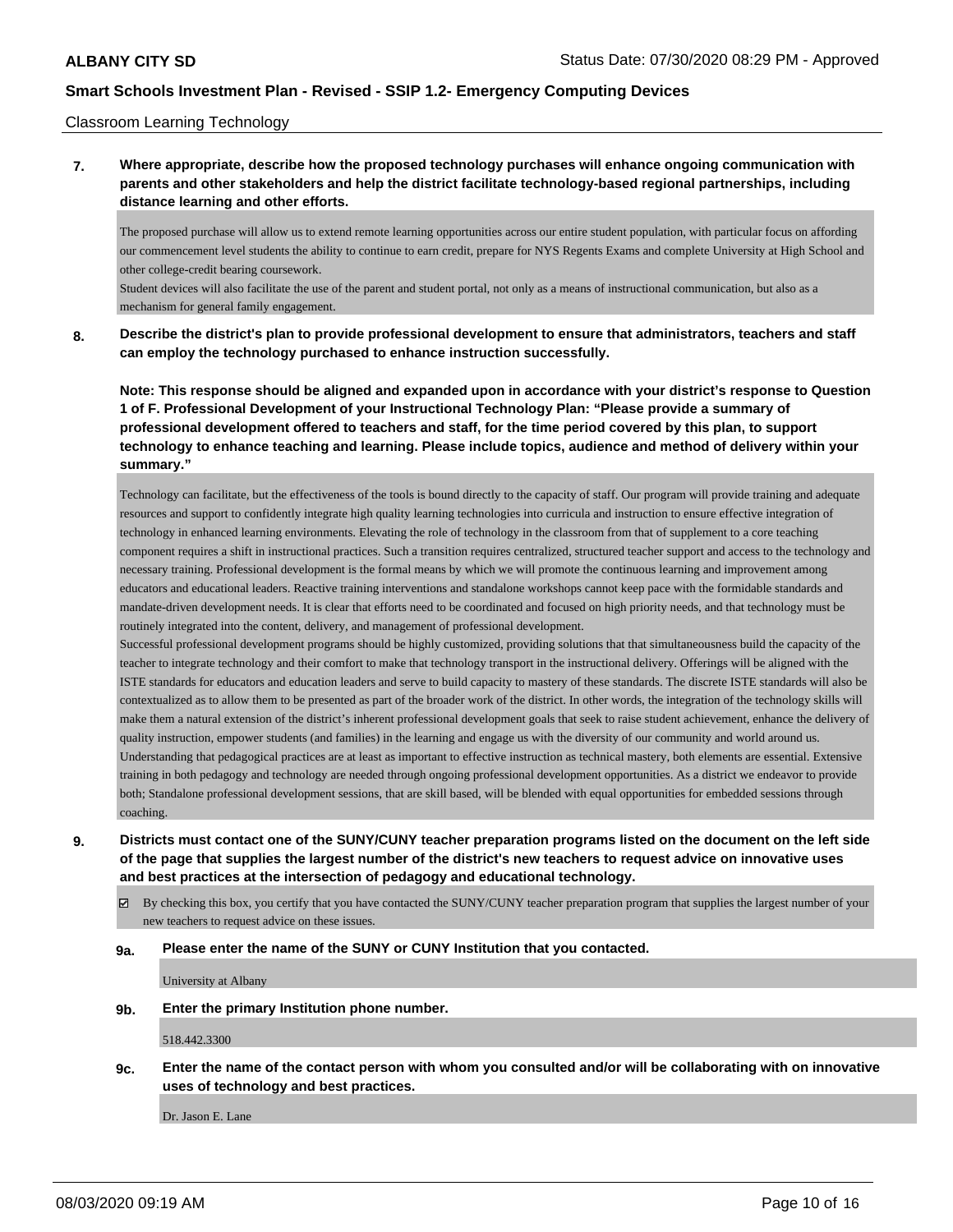#### Classroom Learning Technology

## **7. Where appropriate, describe how the proposed technology purchases will enhance ongoing communication with parents and other stakeholders and help the district facilitate technology-based regional partnerships, including distance learning and other efforts.**

The proposed purchase will allow us to extend remote learning opportunities across our entire student population, with particular focus on affording our commencement level students the ability to continue to earn credit, prepare for NYS Regents Exams and complete University at High School and other college-credit bearing coursework.

Student devices will also facilitate the use of the parent and student portal, not only as a means of instructional communication, but also as a mechanism for general family engagement.

### **8. Describe the district's plan to provide professional development to ensure that administrators, teachers and staff can employ the technology purchased to enhance instruction successfully.**

**Note: This response should be aligned and expanded upon in accordance with your district's response to Question 1 of F. Professional Development of your Instructional Technology Plan: "Please provide a summary of professional development offered to teachers and staff, for the time period covered by this plan, to support technology to enhance teaching and learning. Please include topics, audience and method of delivery within your summary."**

Technology can facilitate, but the effectiveness of the tools is bound directly to the capacity of staff. Our program will provide training and adequate resources and support to confidently integrate high quality learning technologies into curricula and instruction to ensure effective integration of technology in enhanced learning environments. Elevating the role of technology in the classroom from that of supplement to a core teaching component requires a shift in instructional practices. Such a transition requires centralized, structured teacher support and access to the technology and necessary training. Professional development is the formal means by which we will promote the continuous learning and improvement among educators and educational leaders. Reactive training interventions and standalone workshops cannot keep pace with the formidable standards and mandate-driven development needs. It is clear that efforts need to be coordinated and focused on high priority needs, and that technology must be routinely integrated into the content, delivery, and management of professional development.

Successful professional development programs should be highly customized, providing solutions that that simultaneousness build the capacity of the teacher to integrate technology and their comfort to make that technology transport in the instructional delivery. Offerings will be aligned with the ISTE standards for educators and education leaders and serve to build capacity to mastery of these standards. The discrete ISTE standards will also be contextualized as to allow them to be presented as part of the broader work of the district. In other words, the integration of the technology skills will make them a natural extension of the district's inherent professional development goals that seek to raise student achievement, enhance the delivery of quality instruction, empower students (and families) in the learning and engage us with the diversity of our community and world around us. Understanding that pedagogical practices are at least as important to effective instruction as technical mastery, both elements are essential. Extensive training in both pedagogy and technology are needed through ongoing professional development opportunities. As a district we endeavor to provide both; Standalone professional development sessions, that are skill based, will be blended with equal opportunities for embedded sessions through coaching.

**9. Districts must contact one of the SUNY/CUNY teacher preparation programs listed on the document on the left side of the page that supplies the largest number of the district's new teachers to request advice on innovative uses and best practices at the intersection of pedagogy and educational technology.**

 $\boxtimes$  By checking this box, you certify that you have contacted the SUNY/CUNY teacher preparation program that supplies the largest number of your new teachers to request advice on these issues.

#### **9a. Please enter the name of the SUNY or CUNY Institution that you contacted.**

University at Albany

**9b. Enter the primary Institution phone number.**

518.442.3300

**9c. Enter the name of the contact person with whom you consulted and/or will be collaborating with on innovative uses of technology and best practices.**

Dr. Jason E. Lane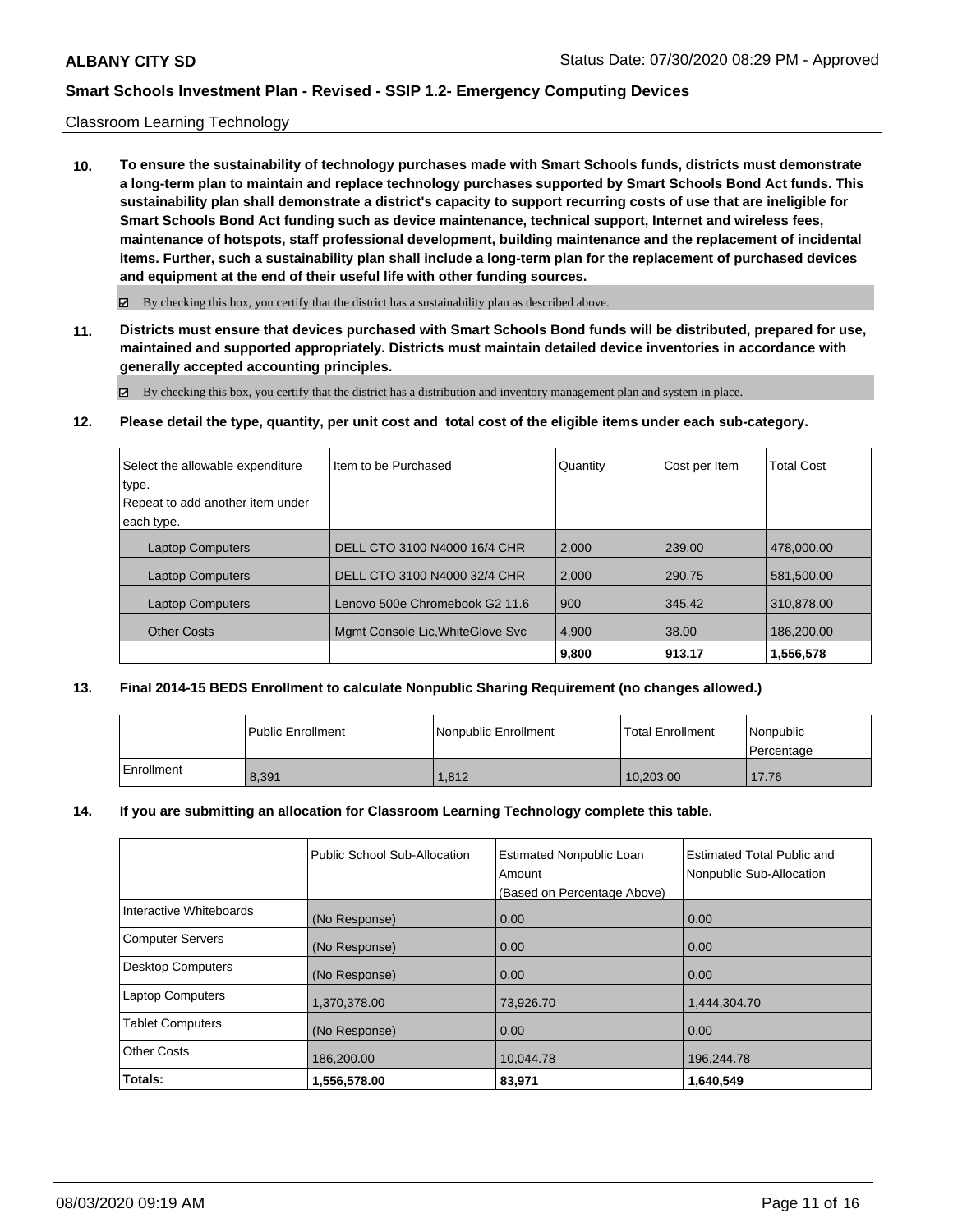### Classroom Learning Technology

**10. To ensure the sustainability of technology purchases made with Smart Schools funds, districts must demonstrate a long-term plan to maintain and replace technology purchases supported by Smart Schools Bond Act funds. This sustainability plan shall demonstrate a district's capacity to support recurring costs of use that are ineligible for Smart Schools Bond Act funding such as device maintenance, technical support, Internet and wireless fees, maintenance of hotspots, staff professional development, building maintenance and the replacement of incidental items. Further, such a sustainability plan shall include a long-term plan for the replacement of purchased devices and equipment at the end of their useful life with other funding sources.**

 $\boxtimes$  By checking this box, you certify that the district has a sustainability plan as described above.

**11. Districts must ensure that devices purchased with Smart Schools Bond funds will be distributed, prepared for use, maintained and supported appropriately. Districts must maintain detailed device inventories in accordance with generally accepted accounting principles.**

By checking this box, you certify that the district has a distribution and inventory management plan and system in place.

**12. Please detail the type, quantity, per unit cost and total cost of the eligible items under each sub-category.**

| Select the allowable expenditure<br>type. | Iltem to be Purchased             | Quantity | Cost per Item | <b>Total Cost</b> |
|-------------------------------------------|-----------------------------------|----------|---------------|-------------------|
| Repeat to add another item under          |                                   |          |               |                   |
| each type.                                |                                   |          |               |                   |
| <b>Laptop Computers</b>                   | DELL CTO 3100 N4000 16/4 CHR      | 2.000    | 239.00        | 478,000,00        |
| <b>Laptop Computers</b>                   | DELL CTO 3100 N4000 32/4 CHR      | 2,000    | 290.75        | 581.500.00        |
| <b>Laptop Computers</b>                   | Lenovo 500e Chromebook G2 11.6    | 900      | 345.42        | 310.878.00        |
| <b>Other Costs</b>                        | Mamt Console Lic, White Glove Svc | 4,900    | 38.00         | 186.200.00        |
|                                           |                                   | 9,800    | 913.17        | 1,556,578         |

### **13. Final 2014-15 BEDS Enrollment to calculate Nonpublic Sharing Requirement (no changes allowed.)**

|              | l Public Enrollment | Nonpublic Enrollment | <b>Total Enrollment</b> | <i>Nonpublic</i><br>Percentage |
|--------------|---------------------|----------------------|-------------------------|--------------------------------|
| l Enrollment | 8.391               | 1.812                | 10,203.00               | 17.76                          |

#### **14. If you are submitting an allocation for Classroom Learning Technology complete this table.**

|                          | Public School Sub-Allocation | <b>Estimated Nonpublic Loan</b><br>Amount | <b>Estimated Total Public and</b><br>Nonpublic Sub-Allocation |
|--------------------------|------------------------------|-------------------------------------------|---------------------------------------------------------------|
|                          |                              | (Based on Percentage Above)               |                                                               |
| Interactive Whiteboards  | (No Response)                | 0.00                                      | 0.00                                                          |
| <b>Computer Servers</b>  | (No Response)                | 0.00                                      | 0.00                                                          |
| <b>Desktop Computers</b> | (No Response)                | 0.00                                      | 0.00                                                          |
| <b>Laptop Computers</b>  | 1,370,378.00                 | 73,926.70                                 | 1,444,304.70                                                  |
| <b>Tablet Computers</b>  | (No Response)                | 0.00                                      | 0.00                                                          |
| <b>Other Costs</b>       | 186,200.00                   | 10,044.78                                 | 196,244.78                                                    |
| Totals:                  | 1,556,578.00                 | 83.971                                    | 1.640.549                                                     |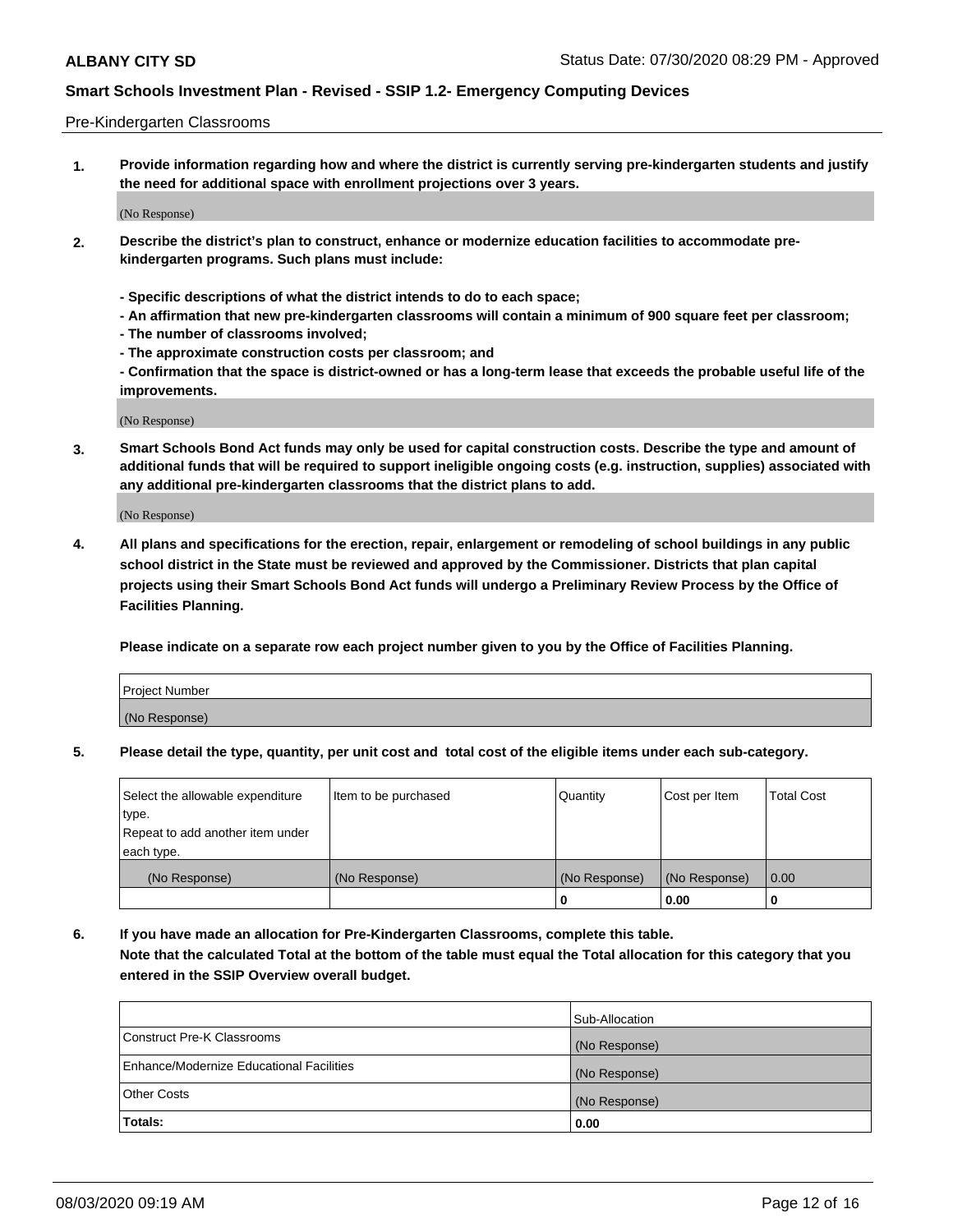#### Pre-Kindergarten Classrooms

**1. Provide information regarding how and where the district is currently serving pre-kindergarten students and justify the need for additional space with enrollment projections over 3 years.**

(No Response)

- **2. Describe the district's plan to construct, enhance or modernize education facilities to accommodate prekindergarten programs. Such plans must include:**
	- **Specific descriptions of what the district intends to do to each space;**
	- **An affirmation that new pre-kindergarten classrooms will contain a minimum of 900 square feet per classroom;**
	- **The number of classrooms involved;**
	- **The approximate construction costs per classroom; and**
	- **Confirmation that the space is district-owned or has a long-term lease that exceeds the probable useful life of the improvements.**

(No Response)

**3. Smart Schools Bond Act funds may only be used for capital construction costs. Describe the type and amount of additional funds that will be required to support ineligible ongoing costs (e.g. instruction, supplies) associated with any additional pre-kindergarten classrooms that the district plans to add.**

(No Response)

**4. All plans and specifications for the erection, repair, enlargement or remodeling of school buildings in any public school district in the State must be reviewed and approved by the Commissioner. Districts that plan capital projects using their Smart Schools Bond Act funds will undergo a Preliminary Review Process by the Office of Facilities Planning.**

**Please indicate on a separate row each project number given to you by the Office of Facilities Planning.**

| Project Number |  |
|----------------|--|
| (No Response)  |  |
|                |  |

**5. Please detail the type, quantity, per unit cost and total cost of the eligible items under each sub-category.**

| Select the allowable expenditure | Item to be purchased | Quantity      | Cost per Item | <b>Total Cost</b> |
|----------------------------------|----------------------|---------------|---------------|-------------------|
| type.                            |                      |               |               |                   |
| Repeat to add another item under |                      |               |               |                   |
| each type.                       |                      |               |               |                   |
| (No Response)                    | (No Response)        | (No Response) | (No Response) | 0.00              |
|                                  |                      | U             | 0.00          |                   |

**6. If you have made an allocation for Pre-Kindergarten Classrooms, complete this table. Note that the calculated Total at the bottom of the table must equal the Total allocation for this category that you entered in the SSIP Overview overall budget.**

|                                          | Sub-Allocation |
|------------------------------------------|----------------|
| Construct Pre-K Classrooms               | (No Response)  |
| Enhance/Modernize Educational Facilities | (No Response)  |
| <b>Other Costs</b>                       | (No Response)  |
| Totals:                                  | 0.00           |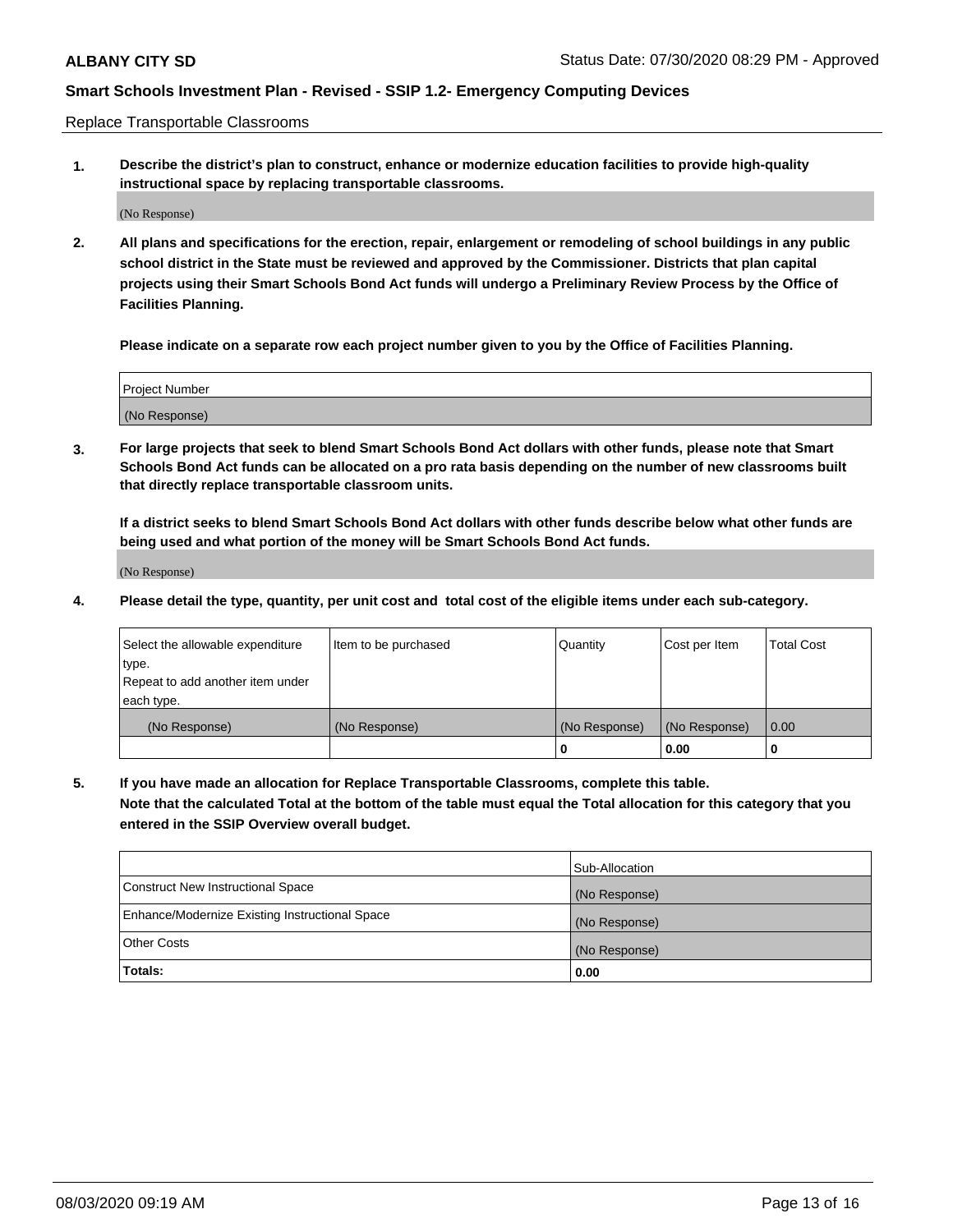Replace Transportable Classrooms

**1. Describe the district's plan to construct, enhance or modernize education facilities to provide high-quality instructional space by replacing transportable classrooms.**

(No Response)

**2. All plans and specifications for the erection, repair, enlargement or remodeling of school buildings in any public school district in the State must be reviewed and approved by the Commissioner. Districts that plan capital projects using their Smart Schools Bond Act funds will undergo a Preliminary Review Process by the Office of Facilities Planning.**

**Please indicate on a separate row each project number given to you by the Office of Facilities Planning.**

| Project Number |  |
|----------------|--|
|                |  |
|                |  |
|                |  |
| (No Response)  |  |
|                |  |
|                |  |

**3. For large projects that seek to blend Smart Schools Bond Act dollars with other funds, please note that Smart Schools Bond Act funds can be allocated on a pro rata basis depending on the number of new classrooms built that directly replace transportable classroom units.**

**If a district seeks to blend Smart Schools Bond Act dollars with other funds describe below what other funds are being used and what portion of the money will be Smart Schools Bond Act funds.**

(No Response)

**4. Please detail the type, quantity, per unit cost and total cost of the eligible items under each sub-category.**

| Select the allowable expenditure<br>∣type.     | Item to be purchased | Quantity      | Cost per Item | Total Cost |
|------------------------------------------------|----------------------|---------------|---------------|------------|
| Repeat to add another item under<br>each type. |                      |               |               |            |
| (No Response)                                  | (No Response)        | (No Response) | (No Response) | 0.00       |
|                                                |                      | u             | 0.00          |            |

**5. If you have made an allocation for Replace Transportable Classrooms, complete this table. Note that the calculated Total at the bottom of the table must equal the Total allocation for this category that you entered in the SSIP Overview overall budget.**

|                                                | Sub-Allocation |
|------------------------------------------------|----------------|
| Construct New Instructional Space              | (No Response)  |
| Enhance/Modernize Existing Instructional Space | (No Response)  |
| Other Costs                                    | (No Response)  |
| Totals:                                        | 0.00           |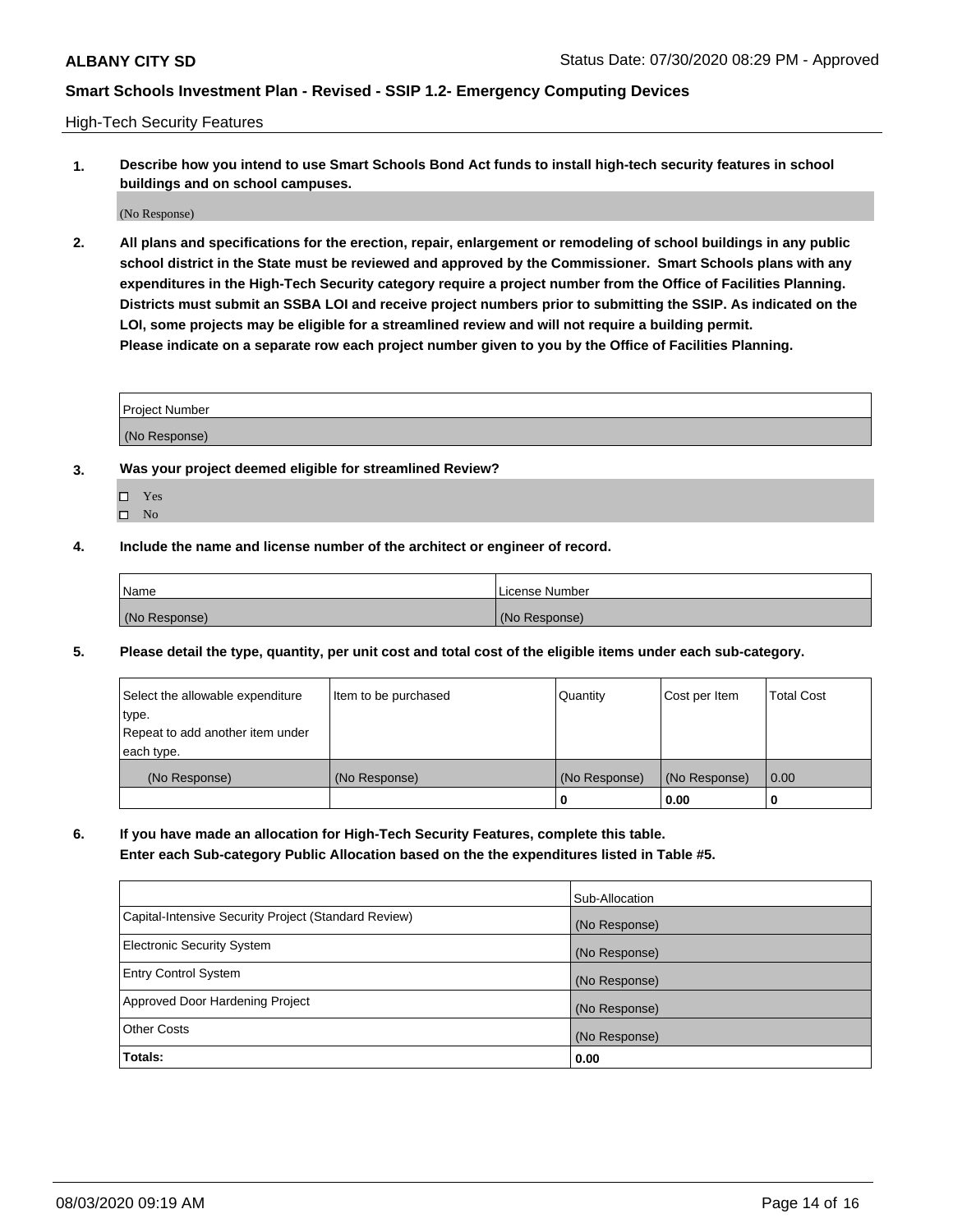High-Tech Security Features

**1. Describe how you intend to use Smart Schools Bond Act funds to install high-tech security features in school buildings and on school campuses.**

(No Response)

**2. All plans and specifications for the erection, repair, enlargement or remodeling of school buildings in any public school district in the State must be reviewed and approved by the Commissioner. Smart Schools plans with any expenditures in the High-Tech Security category require a project number from the Office of Facilities Planning. Districts must submit an SSBA LOI and receive project numbers prior to submitting the SSIP. As indicated on the LOI, some projects may be eligible for a streamlined review and will not require a building permit. Please indicate on a separate row each project number given to you by the Office of Facilities Planning.**

| <b>Project Number</b> |  |
|-----------------------|--|
| (No Response)         |  |

- **3. Was your project deemed eligible for streamlined Review?**
	- Yes
	- $\hfill \square$  No
- **4. Include the name and license number of the architect or engineer of record.**

| Name          | License Number |
|---------------|----------------|
| (No Response) | (No Response)  |

**5. Please detail the type, quantity, per unit cost and total cost of the eligible items under each sub-category.**

| Select the allowable expenditure | Item to be purchased | Quantity      | Cost per Item | <b>Total Cost</b> |
|----------------------------------|----------------------|---------------|---------------|-------------------|
| 'type.                           |                      |               |               |                   |
| Repeat to add another item under |                      |               |               |                   |
| each type.                       |                      |               |               |                   |
| (No Response)                    | (No Response)        | (No Response) | (No Response) | 0.00              |
|                                  |                      | U             | 0.00          |                   |

**6. If you have made an allocation for High-Tech Security Features, complete this table.**

**Enter each Sub-category Public Allocation based on the the expenditures listed in Table #5.**

|                                                      | Sub-Allocation |
|------------------------------------------------------|----------------|
| Capital-Intensive Security Project (Standard Review) | (No Response)  |
| <b>Electronic Security System</b>                    | (No Response)  |
| <b>Entry Control System</b>                          | (No Response)  |
| Approved Door Hardening Project                      | (No Response)  |
| <b>Other Costs</b>                                   | (No Response)  |
| Totals:                                              | 0.00           |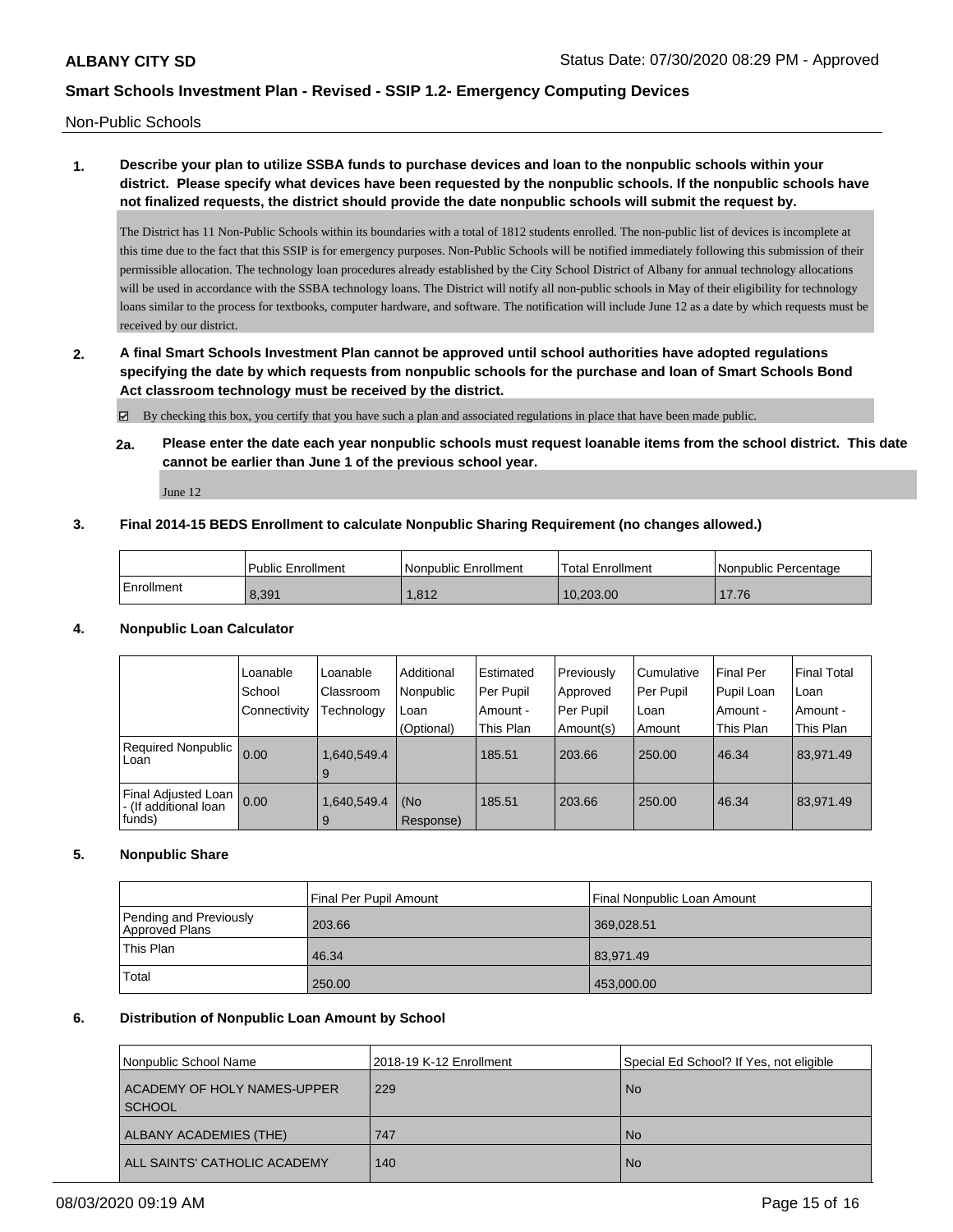Non-Public Schools

# **1. Describe your plan to utilize SSBA funds to purchase devices and loan to the nonpublic schools within your district. Please specify what devices have been requested by the nonpublic schools. If the nonpublic schools have not finalized requests, the district should provide the date nonpublic schools will submit the request by.**

The District has 11 Non-Public Schools within its boundaries with a total of 1812 students enrolled. The non-public list of devices is incomplete at this time due to the fact that this SSIP is for emergency purposes. Non-Public Schools will be notified immediately following this submission of their permissible allocation. The technology loan procedures already established by the City School District of Albany for annual technology allocations will be used in accordance with the SSBA technology loans. The District will notify all non-public schools in May of their eligibility for technology loans similar to the process for textbooks, computer hardware, and software. The notification will include June 12 as a date by which requests must be received by our district.

**2. A final Smart Schools Investment Plan cannot be approved until school authorities have adopted regulations specifying the date by which requests from nonpublic schools for the purchase and loan of Smart Schools Bond Act classroom technology must be received by the district.**

By checking this box, you certify that you have such a plan and associated regulations in place that have been made public.

**2a. Please enter the date each year nonpublic schools must request loanable items from the school district. This date cannot be earlier than June 1 of the previous school year.**

June 12

### **3. Final 2014-15 BEDS Enrollment to calculate Nonpublic Sharing Requirement (no changes allowed.)**

|            | <b>Public Enrollment</b> | l Nonpublic Enrollment | <b>Total Enrollment</b> | l Nonpublic Percentage |
|------------|--------------------------|------------------------|-------------------------|------------------------|
| Enrollment | 8.391                    | 1.812                  | 10.203.00               | 17.76                  |

### **4. Nonpublic Loan Calculator**

|                                                        | Loanable<br>School | Loanable<br>Classroom | Additional<br>Nonpublic | i Estimated<br>Per Pupil | Previously<br>Approved | Cumulative<br>Per Pupil | Final Per<br>Pupil Loan | <b>Final Total</b><br>l Loan |
|--------------------------------------------------------|--------------------|-----------------------|-------------------------|--------------------------|------------------------|-------------------------|-------------------------|------------------------------|
|                                                        | Connectivity       | Technology            | Loan                    | Amount -                 | Per Pupil              | ∣Loan                   | Amount -                | Amount -                     |
|                                                        |                    |                       | (Optional)              | This Plan                | Amount(s)              | Amount                  | This Plan               | This Plan                    |
| Required Nonpublic  <br>Loan                           | 0.00               | 1,640,549.4<br>9      |                         | 185.51                   | 203.66                 | 250.00                  | 46.34                   | 83,971.49                    |
| Final Adjusted Loan<br>- (If additional loan<br>funds) | 0.00               | 1,640,549.4<br>9      | (No<br>Response)        | 185.51                   | 203.66                 | 250.00                  | 46.34                   | 83,971.49                    |

### **5. Nonpublic Share**

|                                          | Final Per Pupil Amount | Final Nonpublic Loan Amount |
|------------------------------------------|------------------------|-----------------------------|
| Pending and Previously<br>Approved Plans | 203.66                 | 369,028.51                  |
| This Plan                                | 46.34                  | 83,971.49                   |
| Total                                    | 250.00                 | 453,000.00                  |

### **6. Distribution of Nonpublic Loan Amount by School**

| Nonpublic School Name                   | 2018-19 K-12 Enrollment | Special Ed School? If Yes, not eligible |
|-----------------------------------------|-------------------------|-----------------------------------------|
| ACADEMY OF HOLY NAMES-UPPER<br>  SCHOOL | 229                     | <b>No</b>                               |
| ALBANY ACADEMIES (THE)                  | 747                     | <b>No</b>                               |
| ALL SAINTS' CATHOLIC ACADEMY            | 140                     | <b>No</b>                               |